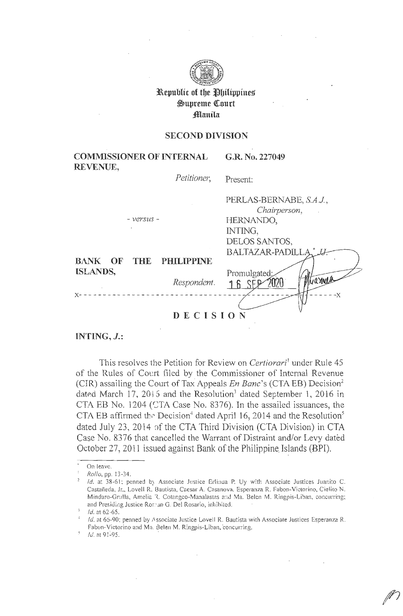

**l\epublic of tbe flbilippines**   $\mathfrak{Supreme}$  Court flanila

### **SECOND DIVISION**

**COMMISSIONER OF INTERNAL REVENUE, G.R. No. 227049** 

*Petitioner,* 

Present:

|                        |             | PERLAS-BERNABE, S.A.J.,                 |  |
|------------------------|-------------|-----------------------------------------|--|
|                        |             | Chairperson,                            |  |
| - versus -             |             | HERNANDO,                               |  |
| $\epsilon$             |             | INTING,                                 |  |
|                        |             | DELOS SANTOS,                           |  |
|                        |             | BALTAZAR-PADILLA,                       |  |
| BANK OF THE PHILIPPINE |             |                                         |  |
| ISLANDS,               | Respondent. | Promulgated;<br>Muarment<br>16S<br>$-X$ |  |
|                        |             |                                         |  |
| DECISION               |             |                                         |  |

**INTING,** *J.:* 

This resolves the Petition for Review on *Certiorari'* under Rule 45 of the Rules of Court filed by the Commissioner of Internal Revenue (CIR) assailing the Court of Tax Appeals *En Banc*'s (CTA EB) Decision<sup>2</sup> dated March 17, 2015 and the Resolution<sup>3</sup> dated September 1, 2016 in CTA EB No.  $1204$  (CTA Case No. 8376). In the assailed issuances, the CTA EB affirmed the Decision<sup>4</sup> dated April 16, 2014 and the Resolution<sup>5</sup> dated July 23, 2014 of the CTA Third Division (CTA Division) in CTA Case No. 8376 that cancelled the Warrant of Distraint and/or Levy dated October 27, 2011 issued against Bank of the Philippine. Islands (BPI).

On leave.

<sup>1</sup>*Rollo,* pp. 13-34.

 $Id$ . at 38-61; penned by Associate Justice Erlinua P. Uy with Associate Justices Juanito C. Castañeda, Jr., Lovell R. Bautista, Caesar A. Casanova, Esperanza R. Fabon-Victorino, Cielito N. Mindaro-Grulla, Amelia <sup>7</sup>, Cotangeo-Manalastas and Ma. Belen M. Ringpis-Liban, concurring; and Presiding Justice Ror. an G. Del Rosario, inhibited.

<sup>\</sup> Id. at 62-65.

 $Id$ , at 66-90; penned by Associate Justice Love II R. Bautista with Associate Justices Esperanza R. Fabon-Victorino and Ma. Belen M. Ringpis-Liban, concurring.

<sup>/</sup>d. at 91-95.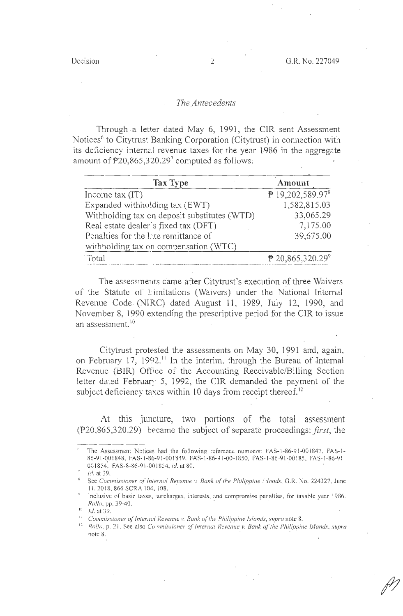#### *The Antecedents*

Through a letter dated May 6, 1991, the CIR sent Assessment Notices<sup>6</sup> to Citytrust Banking Corporation (Citytrust) in connection with its deficiency internal revenue taxes for the year 1986 in the aggregate amount of  $\overline{P}20,865,320.297$  computed as follows:

| <b>Tax Type</b>                              | Amount                         |
|----------------------------------------------|--------------------------------|
| Income tax $(IT)$                            | ₱ 19,202,589.97 <sup>8</sup>   |
| Expanded withholding tax (EWT)               | 1,582,815.03                   |
| Withholding tax on deposit substitutes (WTD) | 33,065.29                      |
| Real estate dealer's fixed tax (DFT)         | 7,175.00                       |
| Penalties for the late remittance of         | 39,675.00                      |
| with holding tax on compensation (WTC)       |                                |
| ' Total                                      | $P$ 20,865,320.29 <sup>9</sup> |

The assessments came after Citytrust's execution of three Waivers of the Statute of Limitations (Waivers) under the National Internal Revenue Code. (NIRC) dated August 11, 1989, July 12, 1990, and November 8, 1990 extending the prescriptive period for the CIR to issue an assessment.<sup>10</sup>

Citytrust protested the assessments on May 30, 1991 and, again, on February 17, 1992.<sup>11</sup> In the interim, through the Bureau of Internal Revenue (BIR) Office of the Accounting Receivable/Billing Section letter dated February 5, 1992, the CIR demanded the payment of the subject deficiency taxes within 10 days from receipt thereof.<sup>12</sup>

At this juncture, two portions of the total assessment (P20,865,320.29) brcame the subject of separate proceedings: *first,* the

*I<sub>c</sub>*<sup>*I*</sup>, at 39.

The Assessment Notices had the following reference numbers: FAS-1-86-91-001847, FAS-1-86-91-001848, FAS-1-86-91-001849, FAS-1-86-91-00-1850, FAS-1-86-91-00185, FAS-1-86-91-001854, FAS-8-86-9 1-001854, *id.* at 80.

See *Commissioner of Internul Revenue v. Bank of the Philippine !: dands*, G.R. No. 224327, June II, 2018, 866 SCRA 104, 108.

Inclusive of basic taxes, surcharges, interests, and compromise penalties, for taxable year 1986. *Rollo,* pp. 39-40. .

 $10$  Id. at 39.

<sup>&</sup>lt;sup>11</sup> Commissioner of Internal Revenue *v. Bunk of the Philippine Islands, supra* note 8.<br><sup>12</sup> Bolla **D. 21, See 2150 Commissioner of Internal Bevanue y Bank of the Philippin** 

*Rollo, p. 21. See also Co •missioner of Internal Revenue v. Bank of the Philippine Islands, supra* note 8.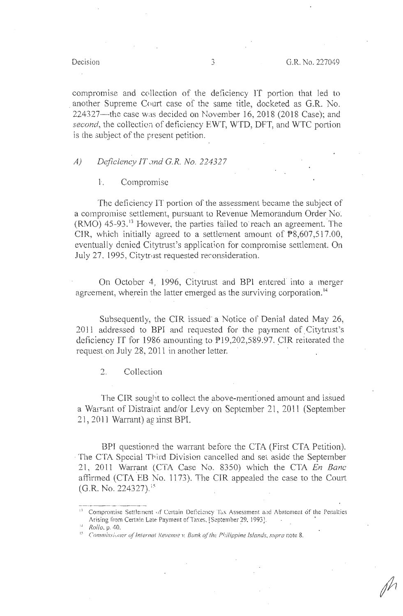### Decision .,

compromise and collection of the deficiency IT portion that led to another Supreme Court case of the same title, docketed as G.R. No. 224327--the case was decided on November 16, 2018 (2018 Case); and *second*, the collection of deficiency EWT, WTD, DFT, and WTC portion is the subject of the present petition.

## *A) Deficiency /T .,md G.R. No. 224327*

### 1·. Compromise

The deficiency IT portion of the assessment became the subject of a compromise settlement, pursuant to Revenue Memorandum Order No.  $(RMO)$  45-93.<sup>13</sup> However, the parties tailed to reach an agreement. The CIR, which initially agreed to a settlement amount of  $P8,607,517.00$ , eventually denied Citytrust's application for compromise settlement. On July 27, 1995, Citytrust requested reconsideration.

On October 4, 1996, Citytrust and BPI entered· into a merger agreement, wherein the latter emerged as the surviving corporation.<sup>14</sup>

Subsequently, the CIR issued a Notice of Denial dated May 26, 2011 addressed to BPI and requested for the payment of. Citytrust's deficiency IT for 1986 amounting to  $P19,202,589.97$ . CIR reiterated the request on July 28, 2011 in another letter.

2. Collection

The CIR sought to collect the above-mentioned amount and issued a Warrant of Distraint and/or Levy on September 21, 2011 (September  $21, 2011$  Warrant) ag  $\overline{a}$  inst BPI.

BPI questioned the warrant before the CTA (First CTA Petition). The CTA Special Third Division cancelled and set aside the September 21, 2011 Warrant (CTA Case No. 8350) which the CTA *En Banc* affirmed (CTA EB No. 1173). The CIR appealed the case to the Court (G.R. No. 224327).<sup>15</sup>

Compromise Settlement of Certain Deficiency Tax Assessment and Abatement of the Penalties Arising from Certain Late Payment of Taxes. [September 29, 1993].

<sup>1</sup> *Rollo.* p. 40. .

<sup>1</sup> ' Commissioner of Internal Revenue v. Bunk of the Philippine Islands, supra note 8.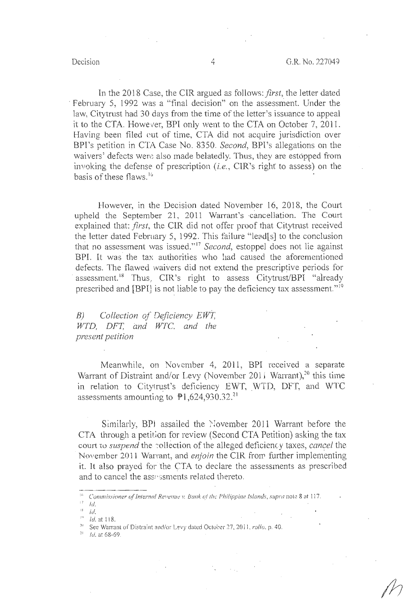In the 2018 Case, the CIR argued as follows: *first*, the letter dated February 5, 1992 was a "final decision" on the assessment. Under the law, Citytrust had 30 days from the time of the letter's issuance to appeal it to the CTA. However, BPI only went to the CTA on October 7, 2011. Having been filed cut of time, CTA did not acquire jurisdiction over BPI's petition in C]A Case No. 8350. *Second,* BPI's allegations on the waivers' defects were also made belatedly. Thus, they are estopped from invoking the defense of prescription (i.e., CIR's right to assess) on the basis of these flaws.<sup>16</sup> u ·

However, in the Decision dated November 16, 2018, the Court upheld the September 21, 2011 Warrant's -cancellation. The Court explained that: *first,* the CIR did not offer proof that Citytrust received the letter dated February 5, 1992. This failure "lead[s] to the conclusion that no assessment was issued." <sup>17</sup>*Second,* estoppel does not lie against BPI. It was the tax authorities who had caused the aforementioned defects. The flawed waivers did not extend the prescriptive periods for assessment.<sup>18</sup> Thus, CIR's right to assess Citytrust/BPI "already prescribed and [BPI] is not liable to pay the deficiency tax assessment."<sup>19</sup>

*B) Collection of Deficiency EWT, WTD, DPT, and WTC. and the present petition* 

Meanwhile, on November 4, 2011, BPI received a separate Warrant of Distraint and/or Levy (November 2011 Warrant),<sup>20</sup> this time in relation to Citytrust's deficiency EWT, WTD, DFT, and WTC assessments amounting to  $P1,624,930.32.^{21}$ 

Similarly, BPI assailed the November 2011 Warrant before the CTA through a petition for review (Second CTA Petition) asking the tax court to *suspend* the collection of the alleged deficiency taxes, *cancel* the November 2011 Warrant, and *enjoin* the CIR frorr further implementing it. It also prayed for the CTA to declare the assessments as prescribed and to cancel the assessments related thereto.

<sup>&</sup>lt;sup>16</sup> Commissioner of *Internal Revenue v. Bank of the Philippine Islands, supra nole 8 at 117.* 

 $17$  *Id.* 

<sup>1</sup> ~ *Id.* 

 $"$  *ld.* at 118.

 $2<sup>n</sup>$  See Warrant of Distraint and/or Levy dated October 27, 2011, *rollo*, p. 40.

 $^{21}$  Id. at 68-69.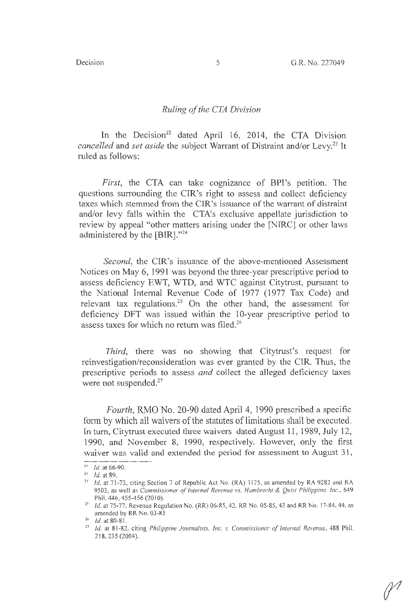### *Ruling of the CTA Division*

In the Decision<sup>22</sup> dated April 16, 2014, the CTA Division *cancelled* and *set aside* the subject Warrant of Distraint and/or Levy.<sup>23</sup> It ruled as follows:

*First,* the CTA can take cognizance of BPI's petition. The questions surrounding the CIR's right to assess and collect deficiency taxes which stemmed from the CIR's issuance of the warrant of distraint and/or levy falls within the CTA's exclusive appellate jurisdiction to review by appeal "other matters arising under the [NIRC) or other laws administered by the [BIR]."24

*Second,* the CIR's issuance of the above-mentioned Assessment Notices on May 6, 1991 was beyond the three-year prescriptive period to assess deficiency EWT, WTD, and WTC against Citytrust, pursuant to the National Internal Revenue Code of 1977 (1977 Tax Code) and relevant tax regulations.<sup>25</sup> On the other hand, the assessment for deficiency DFT was issued within the 10-year prescriptive period to assess taxes for which no return was filed. <sup>26</sup>

*Third,* there was no showing that Citytrust's request for reinvestigation/reconsideration was ever granted by the CIR. Thus, the prescriptive periods to assess *and* collect the alleged deficiency taxes were not suspended.<sup>27</sup>

*Fourth,* RMO No. 20-90 dated April 4, 1990 prescribed a specific form by which all waivers of the statutes of limitations shall be executed. In tum, Citytrust executed three waivers dated August 11, 1989, July 12, 1990, and November 8, 1990, respectively. However, only the first waiver was valid and extended the period for assessment to August 31,

<sup>&</sup>lt;sup>22</sup> *Id.* at 66-90.

 $^{23}$  *Id.* at 89.

<sup>&</sup>lt;sup>24</sup> *Id.* at 71-73, citing Section 7 of Republic Act No. (RA) 1125, as amended by RA 9282 and RA 9503, as well as *Commissioner of Internal Revenue vs. Hambrecht & Quist Philippine. Inc.*, 649 Phil. 446, 455-456 (2010).<br><sup>25</sup> *Id.* at 75-77. Revenue Regulation No. (RR) 06-85, 42, RR No. 05-85, 43 and RR No. 17-84, 44, as

amended by RR No. 03-85<br> $26$  Id. at 80-81.

<sup>&</sup>lt;sup>27</sup> *Id.* at 81-82, citing *Philippine Journalists, Inc. v. Commissioner of Internal Revenue, 488 Phil.* 218, 235 (2004).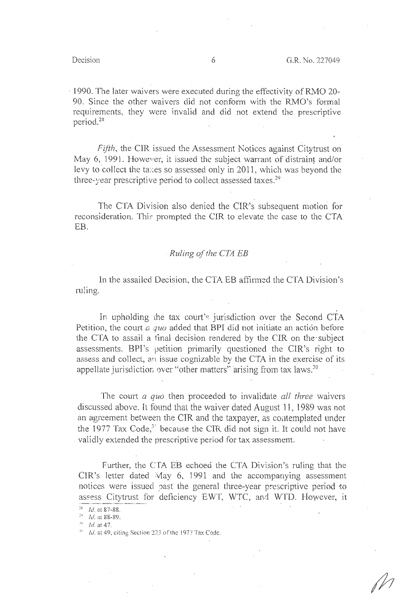1990. The later waivers were executed during the effectivity of RMO 20-90. Since the other waivers did not conform with the RMO's formal requirements, they were invalid and did not extend the prescriptive period. <sup>28</sup>

*Fifth*, the CIR issued the Assessment Notices against Citytrust on May 6, 1991. However, it issued the subject warrant of distraint and/or levy to collect the taxes so assessed only in 2011, which was beyond the three-year prescriptive period to collect assessed taxes.<sup>29</sup>

The CTA Division also denied the CIR's subsequent motion for reconsideration. This prompted the CIR to elevate the case to the CTA EB.

### *Ruling of the CTA EB*

In the assailed Decision, the CTA EB affirmed the CTA Division's ruling.

In upholding the tax court's jurisdiction over the Second CTA Petition, the court  $a$  quo added that BPI did not initiate an action before the CTA to assail a final decision rendered by the CIR on the· subject assessments. BPI's petition primarily questioned the CIR's right to assess and collect, an issue cognizable by the CTA in the exercise of its appellate jurisdiction over "other matters" arising from tax laws.<sup>30</sup>

The court a *quo* then proceeded to invalidate *all three* waivers discussed above. It found that the waiver dated August 11, 1989 was not an agreement between the CIR and the taxpayer, as contemplated under the 1977 Tax Code,<sup>3'</sup> because the CIR did not sign it. It could not have . validly extended the prescriptive period for tax assessment.

Further, the CTA EB echoed the CTA Division's ruling that the CIR's letter dated  $\text{May } 6$ , 1991 and the accompanying assessment notices were issued past the general three-year prescriptive period to assess Citytrust for deficiency EWT, WTC, and WTD. However, it

 $39$  Id. at 47.

<sup>&</sup>lt;sup>28</sup> *Id.* at 87-88.

<sup>&</sup>lt;sup>29</sup> *Id.* at **88-89**.

<sup>&</sup>lt;sup>31</sup> *Id.* at 49, citing Section 223 of the 1977 Tax Code.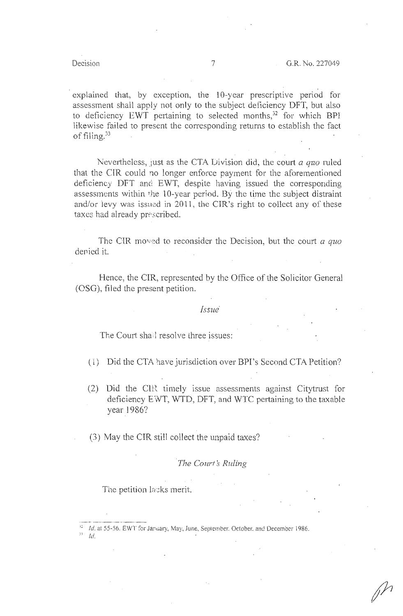explained that, by exception, the 10-year prescriptive period for assessment shall apply not only to the subject deficiency DFT, but also to deficiency EWT pertaining to selected months, $32$  for which BPI likewise failed to present the corresponding returns to establish the fact of filing. <sup>33</sup>

Nevertheless, just as the CTA Division did, the court *a quo* ruled that the CIR could no longer enforce payment for the aforementioned deficiency DFT and EWT, despite having issued the corresponding assessments within the 10-year period. By the time the subject distraint and/or levy was issued in 2011, the CIR's right to collect any of these taxes had already prescribed.

The CIR moved to reconsider the Decision, but the court *a quo* denied it.

Hence, the CIR, represented by the Office of the Solicitor General (OSG), filed the present petition.

#### *Issue·*

The Court shall resolve three issues:

- (1) Did the CTA have jurisdiction over BPI's Second CTA Petition?
- (2) Did the CIR timely issue assessments against Citytrust for deficiency EWT, WTD, DFT, and WTC pertaining to the taxable year 1986?
- (3) May the CIR still collect the unpaid taxes?

**The Court's Ruling** 

The petition lacks merit.

 $^{12}$  Id. at 55-56. EWT for January, May, June, September. October. and December 1986.

 $\frac{33}{10}$ .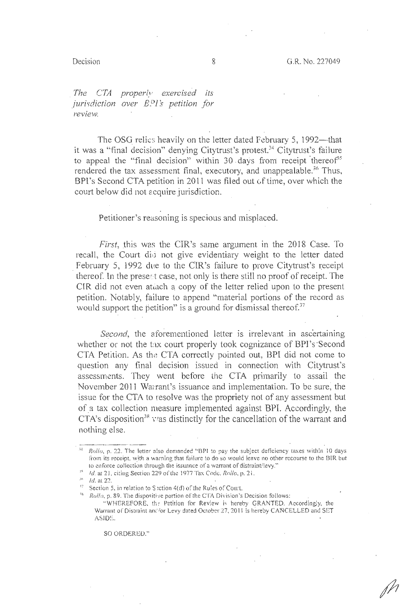*The CTA properly exercised its juri\·diction over B.*<sup>0</sup> *1 's petition for review.* 

The OSG relies heavily on the letter dated February 5, 1992-that it was a "final decision" denying Citytrust's protest.<sup>34</sup> Citytrust's failure to appeal the "final decision" within 30 days from receipt thereof<sup>35</sup> rendered the tax assessment final, executory, and unappealable.<sup>36</sup> Thus, BPI's Second CTA petition in 2011 was filed out of time, over which the court below did not scquire jurisdiction.

Petitioner's reasoning is specious and misplaced.

*First,* this was the CIR's same argument in the 2018 Case. To recall, the Court disi not give evidentiary weight to the letter dated February 5, 1992 due to the CIR's failure to prove Citytrust's receipt thereof. In the present case, not only is there still no proof of receipt. The CIR did not even at ach a copy of the letter relied upon to the present petition. Notably, failure to append "material portions of the record as would support the petition" is a ground for dismissal thereof. $37$ 

*Second*, the aforementioned letter is irrelevant in ascertaining whether or not the tax court properly took cognizance of BPI's Second CTA Petition. As the CTA correctly pointed out, BPI did not come to question any final decision issued in connection with Citytrust's assessments. They went before the CTA primarily to assail the November 2011 Warrant's issuance and implementation. To be sure, the issue for the CTA to resolve was the propriety not of any assessment but of a tax collection measure implemented against BPI. Accordingly, the CTA's disposition<sup>38</sup> was distinctly for the cancellation of the warrant and nothing else.

 $^{36}$  *Id.* at 22.

SO ORDERED."

 $\frac{34}{2}$  *Rollo*, p. 22. The letter also demanded "BPI to pay the subject deficiency taxes within 10 days from its receipt, with a warning that failure to do so would leave no other recourse to the BIR but to enforce collection through the issuance of a warrant of distraint/levy."

<sup>&</sup>lt;sup>35</sup> *Id.* at 21, citing Section 229 of the 1977 Tax Code. *Rollo*, p. 21.

 $^{17}$  Section 5, in relation to S iction 4(d) of the Rules of Court.

<sup>&</sup>lt;sup>88</sup> Rollo, p. 89. The dispositive portion of the CTA Division's Decision follows:

<sup>&</sup>quot;WHEREFORE, the Petition for Review is hereby GRANTED. Accordingly, the Warrant of Distraint and/or Levy dated October 27, 2011 is hereby CANCELLED and SET ASID<sup>E</sup>.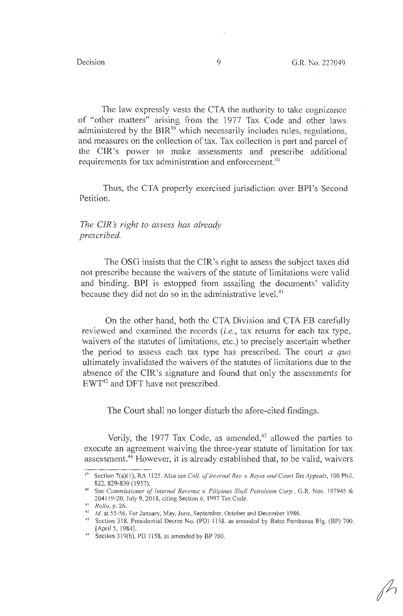The law expressly vests the CTA the authority to take cognizance of "other matters" arising from the 1977 Tax Code and other laws administered by the  $BIR^{39}$  which necessarily includes rules, regulations, and measures on the collection of tax. Tax collection is part and parcel of the CIR's power to make assessments and prescribe additional requirements for tax administration and enforcement.<sup>40</sup>

Thus, the CTA properly exercised jurisdiction over BPl's Second Petition.

*The CIR* s *right to assess has already prescribed.* 

The OSG insists that the CIR's right to assess the subject taxes did not prescribe because the waivers of the statute of limitations were valid and binding. **BPI** is estopped from assailing the documents' validity because they did not do so in the administrative level.<sup>41</sup>

On the other hand, both the CTA Division and CTA EB carefully reviewed and examined the records *(i.e., tax returns for each tax type,* waivers of the statutes of limitations, etc.) to precisely ascertain whether the period to assess each tax type has prescribed. The court *a quo*  ultimately invalidated the waivers of the statutes of limitations due to the absence of the CIR's signature and found that only the assessments for EWT42 and DFT have not prescribed.

The Court shall no longer disturb the afore-cited findings.

Verily, the 1977 Tax Code, as amended, $43$  allowed the parties to execute an agreement waiving the three-year statute of limitation for tax assessment.44 However, it is already established that, to be valid, waivers

<sup>&</sup>lt;sup>39</sup> Section 7(a)(1), RA 1125. Also see *Coll. of Internal Rev. v. Reyes and Court Tax Appeals*, 100 Phil. 822, 829-830 (1957).<br><sup>40</sup> See *Commissioner of Internal Revenue v. Pilipinas Shell Petroleum Corp., G.R. Nos. 197945 &* 

<sup>204119-20,</sup> July 9, 2018, citing Section 6; l 997 Tax Code.

<sup>•</sup> 11 *Rollo,* p. 26.

<sup>&</sup>lt;sup>42</sup> *Id.* at 55-56. For January, May, June, September, October and December 1986.

<sup>~</sup>J Section 318, Presidential Decree No. (PD) 1158, as amended by Batas Pambansa Big. (BP) 700, (April 5, l 984]. 44 Section 319(b). PD 1158, as amended by BP 700.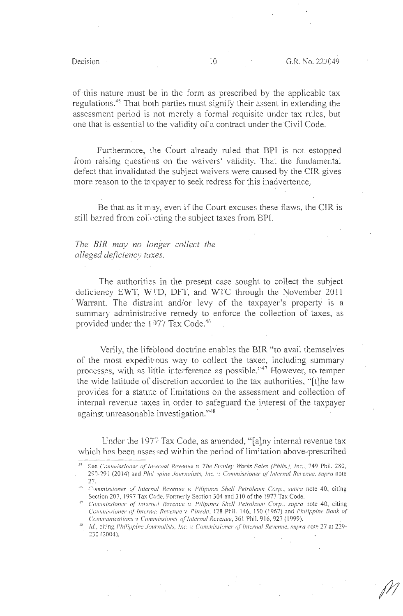of this nature must be in the form as prescribed by the applicable tax regulations.<sup>45</sup> That both parties must signify their assent in extending the assessment period is not merely a formal requisite under tax rules, but . one that is essential to the validity of a contract under the Civil Code.

Furthermore, the Court already ruled that BPI is not estopped from raising questions on the waivers' validity. That the fundamental defect that invalidated the subject waivers were caused by the CIR gives more reason to the taxpayer to seek redress for this inadvertence,

Be that as it 1ray, even if the Court excuses these flaws, the CIR is still barred from collecting the subject taxes from BPI.

# *The BIR may no longer collect the alleged deficiency taxes.*

The authorities in the present case sought to collect the subject deficiency EWT, WTD, DFT, and WTC through the November 2011 Warrant. The distraint and/or levy of the taxpayer's property is a summary administrative remedy to enforce the collection of taxes, as provided under the 1977 Tax Code.<sup>46</sup>

Verily, the lifeblood doctrine enables the BIR "to avail themselves of the most expedit•ous way to collect the taxes, including summary processes, with as little interference as possible.''47 However, to. temper the wide latitude of discretion accorded to the tax authorities, "[t]he law provides for a statute of limitations on the assessment and collection of internal revenue taxes in order to safeguard the interest of the taxpayer against unreasonable investigation."<sup>48</sup>

Under the 1977 Tax Code, as amended, "[a]ny internal revenue tax which has been assessed within the period of limitation above-prescribed

<sup>&</sup>lt;sup>45</sup> See *Commissioner of Internal Revenue v. The Stanley Works Sales (Phils.), Inc., 749 Phil. 280,* 290-291 (2014) and *Phil :pine Journalists, Inc. v. Commissioner of Internal Revenue. supra* note  $27.$ 

<sup>. 1</sup>r, eommissioner *cf Internal Revenue* i., f'ifipinas *Shell l'etroleum* Corp., *SZI/Jta* noie 40, citing Section 207, 1997 Tax Code. Formerly Section 304 and 310 of the 1977 Tax Code.

<sup>&</sup>lt;sup>47</sup> Commissioner of Internal Revenue v. Pilipmas Shell Petroleum Corp., supra note 40, citing *Commissioner of Interna: Revenue v. Pineda, 128 Phil. 146, 150 (1967) and Philippine Bank of Communications v. Commissioner of Internal Revenue*, 361 Phil. 916, 927 (1999).

<sup>&</sup>lt;sup>48</sup> *Id., citing Philippine Journalists, Inc. v. Commissioner of Internal Revenue, supra note 27 at 229-130* (2004).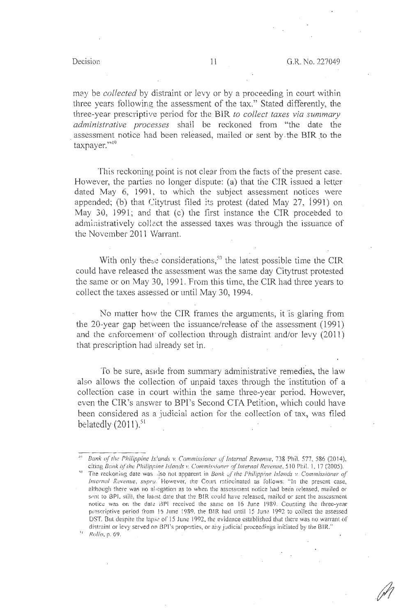may be *collected* by distraint or levy or by a proceeding in court within three years following the assessment of the tax." Stated differently, the three-year prescriptive period for the **BIR** *to collect taxes via summary administrative processes* shall be reckoned from "the date the assessment notice had been released, mailed or sent by the BIR to the  $taxpayer."$ <sup>49</sup>

This reckoning point is not clear from the facts of the present case. However, the parties no longer dispute: (a) that the CIR issued a letter dated May 6, 1991, to which the subject assessment notices were appended; (b) that Citytrust filed its protest (dated May 27, 1991) on May 30, 1991; and that (c) the first instance the CIR proceeded to administratively collect the assessed taxes was through the issuance of the November 2011 Warrant.

With only these considerations, $50$  the latest possible time the CIR could have released the assessrnent was the same day Citytrust protested the same or on May 30, 1991. From this time, the CIR had three years to collect the taxes assessed or until May 30, 1994.

No matter how the CIR frames the arguments, it is glaring from the 20-year gap between the issuance/release of the assessment  $(1991)$ and the enforcement of collection through distraint and/or levy (2011) that prescription had already set in.

To be sure, aside from summary administrative remedies, the law also allows the collection of unpaid taxes through the institution of a collection case in court within the same three-year period. However, even the CIR's answer to BPI's Second CTA Petition, which could have been considered as a judicial action for the collection of tax, was filed belatedly $(2011)$ .<sup>51</sup>

'' *Rullo,* p. 69.

<sup>.,</sup> ., *Dank (f the Philippine ls.'ands* v. *Commissioner u,/'lnternal Revenue.* 738 Phil. 577, 586 (2014). citing *Bank of the Philippine Islands v. Commissioner of Internal Revenue*, 510 Phil. 1, 17 (2005).

<sup>&#</sup>x27;The reckoning date was also not apparent in *Bank of the Philippine Islands v. Commissioner of Internal Revenue, supru.* However, the Court ratiocinated as follows: "In the present case, although there was no alregation as to when the assessment notice had been released, mailed or sent to BPI, still, the latest date that the BIR could have released, mailed or sent the assessment notice was on the date BPI received the same on 16 June 1989. Counting the three-year prescriptive period from 16 June 1989, the BIR had until 15 June 1992 to collect the assessed DST. But despite the lapse of 15 June 1992, the evidence established that there was no warrant of distraint or levy served on BPI's properties, or any judicial proceedings initiated by the BIR."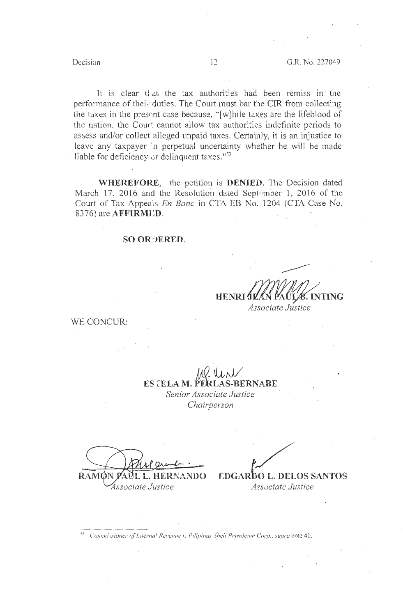It is clear that the tax authorities had been remiss in the performance of their duties. The Court must bar the CIR from collecting the taxes in the present case because, "[w]hile taxes are the lifeblood of the nation, the Court cannot allow tax authorities indefinite periods to assess and/or collect alleged unpaid taxes. Certainly, it is an injustice to leave any taxpayer in perpetual uncertainty whether he will be made liable for deficiency or delinquent taxes."<sup>52</sup>

**WHEREFORE,** the petition is **DENIED.** The Decision dated March 17, 2016 and the Resolution dated September 1, 2016 of the Court of Tax Appea's *En Banc* in CTA EB No. 1204 (CTA Case No. 8376) are **AFFIRMl:D.** 

#### **SO OR:JERED.**

WE CONCUR:

100 Uni **ES [ELAM. PEIRLAS-BERNABE**  *Senior Associate Justice* 

**HENRI** 

*Chairperson* 

RAM **SANDO** *Associate Justice* 

/ . F.DGARbo L. DELOS SANTOS

**Associate Justice** 

*Associate Justice* 

**INTING** 

*'.' <sup>2</sup>C***<sup>1</sup> 01111ni. <sup>1</sup> :sioner** *t?f'* **/11/erna.!** *Revenue,,\_ Pilipinos :~i1ell* **Petrole11111 ('or11 ....** *supra* **note 40.**